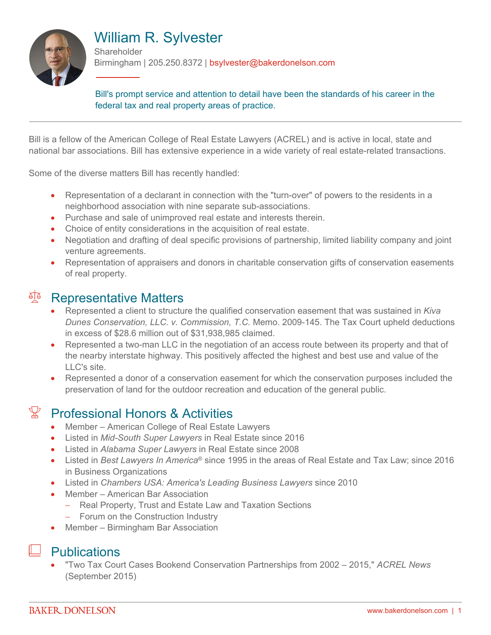

# William R. Sylvester

**Shareholder** Birmingham | 205.250.8372 | bsylvester@bakerdonelson.com

Bill's prompt service and attention to detail have been the standards of his career in the federal tax and real property areas of practice.

Bill is a fellow of the American College of Real Estate Lawyers (ACREL) and is active in local, state and national bar associations. Bill has extensive experience in a wide variety of real estate-related transactions.

Some of the diverse matters Bill has recently handled:

- Representation of a declarant in connection with the "turn-over" of powers to the residents in a neighborhood association with nine separate sub-associations.
- Purchase and sale of unimproved real estate and interests therein.
- Choice of entity considerations in the acquisition of real estate.
- Negotiation and drafting of deal specific provisions of partnership, limited liability company and joint venture agreements.
- Representation of appraisers and donors in charitable conservation gifts of conservation easements of real property.

#### <sup>A</sup> Representative Matters

- Represented a client to structure the qualified conservation easement that was sustained in *Kiva Dunes Conservation, LLC. v. Commission, T.C.* Memo. 2009-145. The Tax Court upheld deductions in excess of \$28.6 million out of \$31,938,985 claimed.
- Represented a two-man LLC in the negotiation of an access route between its property and that of the nearby interstate highway. This positively affected the highest and best use and value of the LLC's site.
- Represented a donor of a conservation easement for which the conservation purposes included the preservation of land for the outdoor recreation and education of the general public.

### Professional Honors & Activities

- Member American College of Real Estate Lawyers
- Listed in *Mid-South Super Lawyers* in Real Estate since 2016
- Listed in *Alabama Super Lawyers* in Real Estate since 2008
- Listed in *Best Lawyers In America*® since 1995 in the areas of Real Estate and Tax Law; since 2016 in Business Organizations
- Listed in *Chambers USA: America's Leading Business Lawyers* since 2010
- Member American Bar Association
	- Real Property, Trust and Estate Law and Taxation Sections
	- Forum on the Construction Industry
- Member Birmingham Bar Association

### **Publications**

 "Two Tax Court Cases Bookend Conservation Partnerships from 2002 – 2015," *ACREL News* (September 2015)